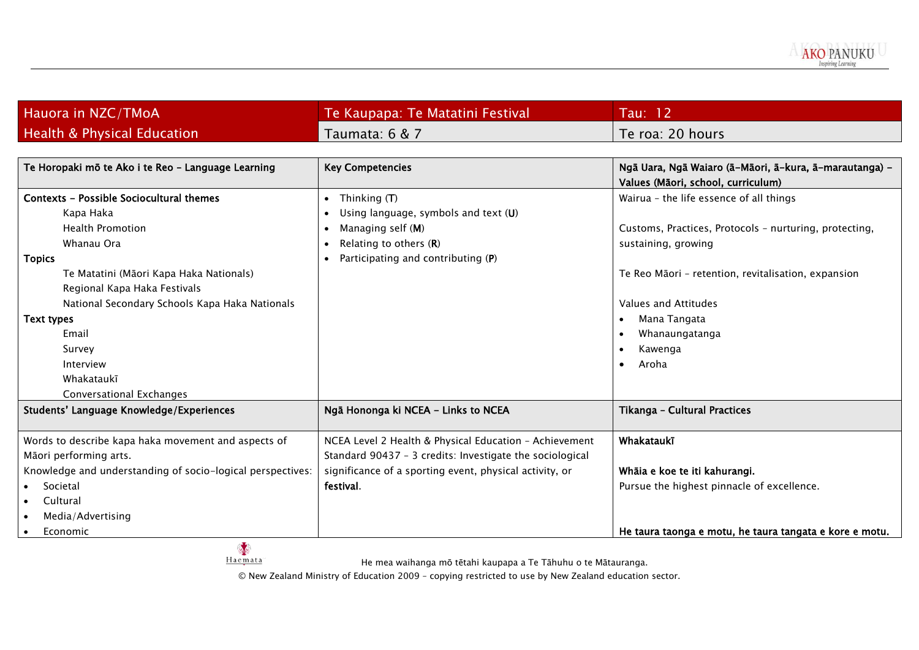

| Hauora in NZC/TMoA                     | Te Kaupapa: Te Matatini Festival | Tau: 12           |
|----------------------------------------|----------------------------------|-------------------|
| <b>Health &amp; Physical Education</b> | Taumata: 6 & 7                   | 'Te roa: 20 hours |

| Te Horopaki mō te Ako i te Reo - Language Learning         | <b>Key Competencies</b>                                  | Ngā Uara, Ngā Waiaro (ā-Māori, ā-kura, ā-marautanga) -  |  |
|------------------------------------------------------------|----------------------------------------------------------|---------------------------------------------------------|--|
|                                                            |                                                          | Values (Māori, school, curriculum)                      |  |
| <b>Contexts - Possible Sociocultural themes</b>            | Thinking $(T)$<br>$\bullet$                              | Wairua - the life essence of all things                 |  |
| Kapa Haka                                                  | Using language, symbols and text (U)                     |                                                         |  |
| <b>Health Promotion</b>                                    | Managing self (M)                                        | Customs, Practices, Protocols - nurturing, protecting,  |  |
| Whanau Ora                                                 | Relating to others $(R)$<br>$\bullet$                    | sustaining, growing                                     |  |
| <b>Topics</b>                                              | Participating and contributing (P)                       |                                                         |  |
| Te Matatini (Māori Kapa Haka Nationals)                    |                                                          | Te Reo Māori - retention, revitalisation, expansion     |  |
| Regional Kapa Haka Festivals                               |                                                          |                                                         |  |
| National Secondary Schools Kapa Haka Nationals             |                                                          | Values and Attitudes                                    |  |
| Text types                                                 |                                                          | Mana Tangata                                            |  |
| Email                                                      |                                                          | Whanaungatanga                                          |  |
| Survey                                                     |                                                          | Kawenga                                                 |  |
| Interview                                                  |                                                          | Aroha<br>$\bullet$                                      |  |
| Whakataukī                                                 |                                                          |                                                         |  |
| Conversational Exchanges                                   |                                                          |                                                         |  |
| Students' Language Knowledge/Experiences                   | Ngā Hononga ki NCEA - Links to NCEA                      | Tikanga - Cultural Practices                            |  |
|                                                            |                                                          |                                                         |  |
| Words to describe kapa haka movement and aspects of        | NCEA Level 2 Health & Physical Education - Achievement   | Whakataukī                                              |  |
| Māori performing arts.                                     | Standard 90437 - 3 credits: Investigate the sociological |                                                         |  |
| Knowledge and understanding of socio-logical perspectives: | significance of a sporting event, physical activity, or  | Whāia e koe te iti kahurangi.                           |  |
| Societal                                                   | festival.                                                | Pursue the highest pinnacle of excellence.              |  |
| Cultural                                                   |                                                          |                                                         |  |
| Media/Advertising                                          |                                                          |                                                         |  |
| Economic<br>$\bullet$                                      |                                                          | He taura taonga e motu, he taura tangata e kore e motu. |  |

He mea waihanga mō tētahi kaupapa a Te Tāhuhu o te Mātauranga.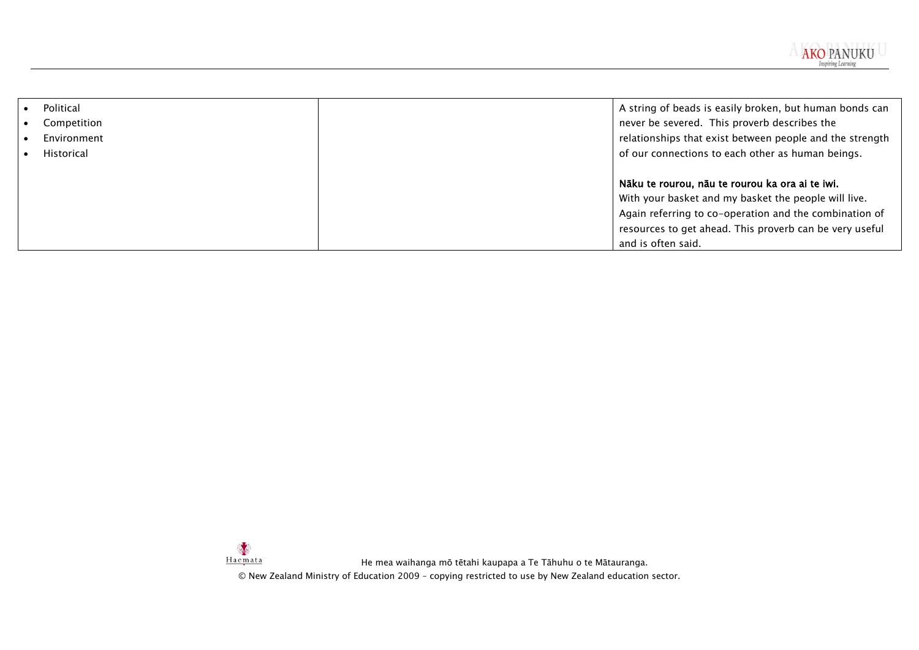

| Political<br>Competition<br>Environment | A string of beads is easily broken, but human bonds can<br>never be severed. This proverb describes the<br>relationships that exist between people and the strength |
|-----------------------------------------|---------------------------------------------------------------------------------------------------------------------------------------------------------------------|
| Historical                              | of our connections to each other as human beings.                                                                                                                   |
|                                         | Nāku te rourou, nāu te rourou ka ora ai te iwi.                                                                                                                     |
|                                         | With your basket and my basket the people will live.                                                                                                                |
|                                         | Again referring to co-operation and the combination of                                                                                                              |
|                                         | resources to get ahead. This proverb can be very useful                                                                                                             |
|                                         | and is often said.                                                                                                                                                  |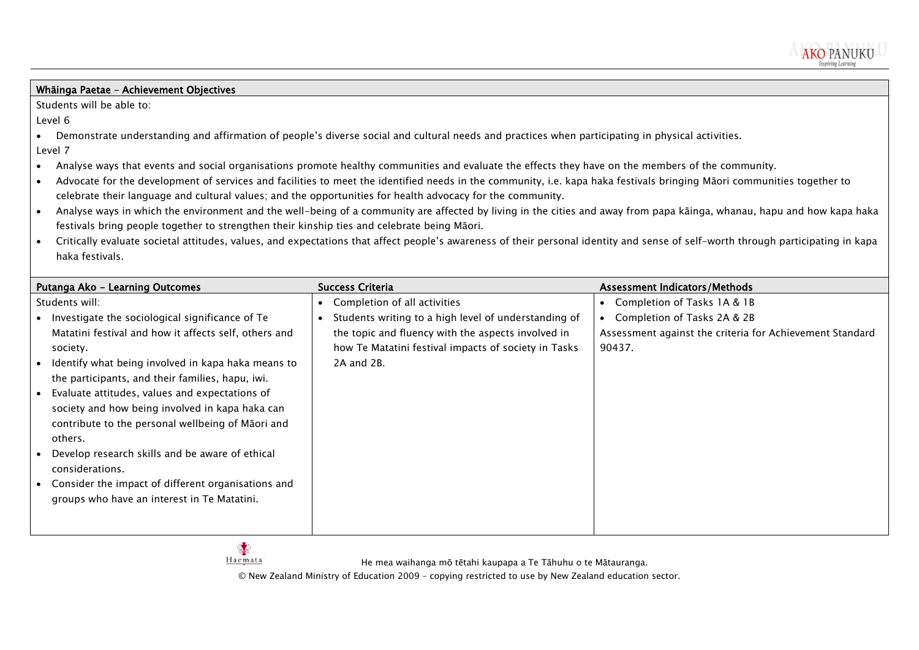

## Whāinga Paetae – Achievement Objectives

Students will be able to:

Level 6

- Demonstrate understanding and affirmation of people's diverse social and cultural needs and practices when participating in physical activities. Level 7
- Analyse ways that events and social organisations promote healthy communities and evaluate the effects they have on the members of the community.
- Advocate for the development of services and facilities to meet the identified needs in the community, i.e. kapa haka festivals bringing Māori communities together to celebrate their language and cultural values; and the opportunities for health advocacy for the community.
- Analyse ways in which the environment and the well-being of a community are affected by living in the cities and away from papa kāinga, whanau, hapu and how kapa haka festivals bring people together to strengthen their kinship ties and celebrate being Māori.
- Critically evaluate societal attitudes, values, and expectations that affect people's awareness of their personal identity and sense of self-worth through participating in kapa haka festivals.

| Putanga Ako - Learning Outcomes                                                                                                                                                                                                                                                                                                                                                                                                                                          | <b>Success Criteria</b>                                                                                                                                                                                          | <b>Assessment Indicators/Methods</b>                                                                                             |
|--------------------------------------------------------------------------------------------------------------------------------------------------------------------------------------------------------------------------------------------------------------------------------------------------------------------------------------------------------------------------------------------------------------------------------------------------------------------------|------------------------------------------------------------------------------------------------------------------------------------------------------------------------------------------------------------------|----------------------------------------------------------------------------------------------------------------------------------|
| Students will:<br>Investigate the sociological significance of Te<br>Matatini festival and how it affects self, others and<br>society.<br>Identify what being involved in kapa haka means to<br>the participants, and their families, hapu, iwi.<br>Evaluate attitudes, values and expectations of<br>society and how being involved in kapa haka can<br>contribute to the personal wellbeing of Māori and<br>others.<br>Develop research skills and be aware of ethical | Completion of all activities<br>Students writing to a high level of understanding of<br>the topic and fluency with the aspects involved in<br>how Te Matatini festival impacts of society in Tasks<br>2A and 2B. | Completion of Tasks 1A & 1B<br>Completion of Tasks 2A & 2B<br>Assessment against the criteria for Achievement Standard<br>90437. |
| considerations.                                                                                                                                                                                                                                                                                                                                                                                                                                                          |                                                                                                                                                                                                                  |                                                                                                                                  |
| Consider the impact of different organisations and<br>groups who have an interest in Te Matatini.                                                                                                                                                                                                                                                                                                                                                                        |                                                                                                                                                                                                                  |                                                                                                                                  |



**SE** 

He mea waihanga mō tētahi kaupapa a Te Tāhuhu o te Mātauranga.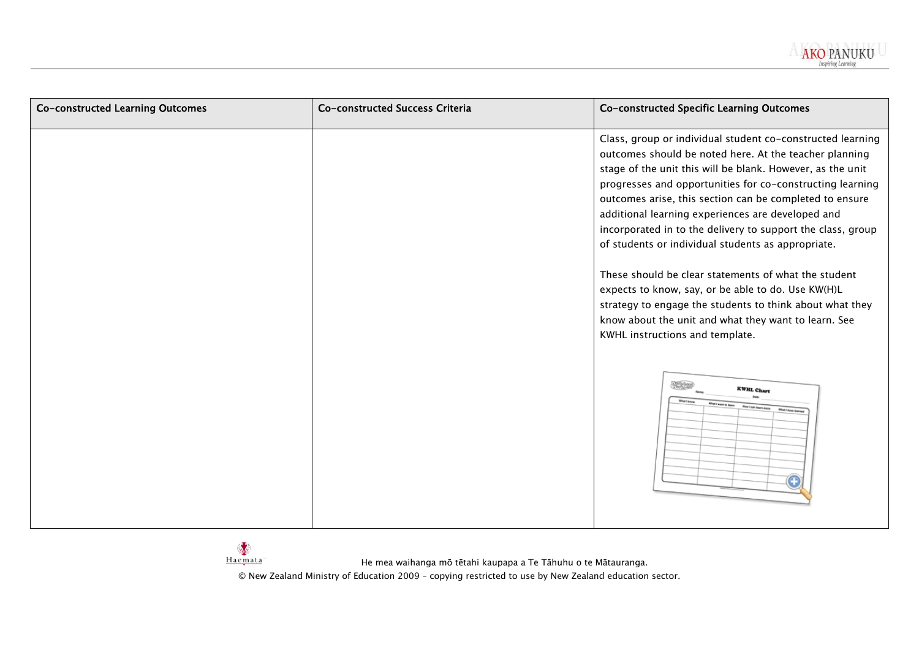

| Co-constructed Learning Outcomes | Co-constructed Success Criteria | Co-constructed Specific Learning Outcomes                                                                                                                                                                                                                                                                                                                                                                                                                                                                                                                                                                                                                                                                                                                                                                                                                                       |  |  |
|----------------------------------|---------------------------------|---------------------------------------------------------------------------------------------------------------------------------------------------------------------------------------------------------------------------------------------------------------------------------------------------------------------------------------------------------------------------------------------------------------------------------------------------------------------------------------------------------------------------------------------------------------------------------------------------------------------------------------------------------------------------------------------------------------------------------------------------------------------------------------------------------------------------------------------------------------------------------|--|--|
|                                  |                                 | Class, group or individual student co-constructed learning<br>outcomes should be noted here. At the teacher planning<br>stage of the unit this will be blank. However, as the unit<br>progresses and opportunities for co-constructing learning<br>outcomes arise, this section can be completed to ensure<br>additional learning experiences are developed and<br>incorporated in to the delivery to support the class, group<br>of students or individual students as appropriate.<br>These should be clear statements of what the student<br>expects to know, say, or be able to do. Use KW(H)L<br>strategy to engage the students to think about what they<br>know about the unit and what they want to learn. See<br>KWHL instructions and template.<br><b>MARK</b><br><b>KWHL Chart</b><br>Ret I want to learn<br>Now I can learn more<br><b>What I have learned</b><br>⊕ |  |  |
|                                  |                                 |                                                                                                                                                                                                                                                                                                                                                                                                                                                                                                                                                                                                                                                                                                                                                                                                                                                                                 |  |  |

He mea waihanga mō tētahi kaupapa a Te Tāhuhu o te Mātauranga.

© New Zealand Ministry of Education 2009 – copying restricted to use by New Zealand education sector.

Haemata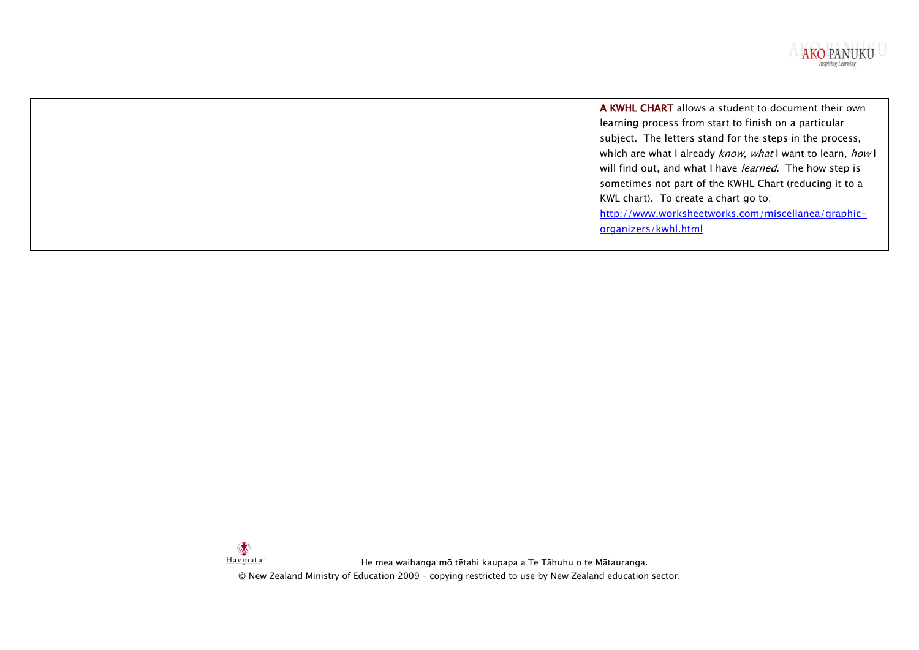

|  | A KWHL CHART allows a student to document their own<br>learning process from start to finish on a particular<br>subject. The letters stand for the steps in the process,<br>which are what I already know, what I want to learn, how I<br>will find out, and what I have learned. The how step is<br>sometimes not part of the KWHL Chart (reducing it to a<br>KWL chart). To create a chart go to:<br>http://www.worksheetworks.com/miscellanea/graphic-<br>organizers/kwhl.html |
|--|-----------------------------------------------------------------------------------------------------------------------------------------------------------------------------------------------------------------------------------------------------------------------------------------------------------------------------------------------------------------------------------------------------------------------------------------------------------------------------------|
|  |                                                                                                                                                                                                                                                                                                                                                                                                                                                                                   |

Haemata He mea waihanga mō tētahi kaupapa a Te Tāhuhu o te Mātauranga. © New Zealand Ministry of Education 2009 – copying restricted to use by New Zealand education sector.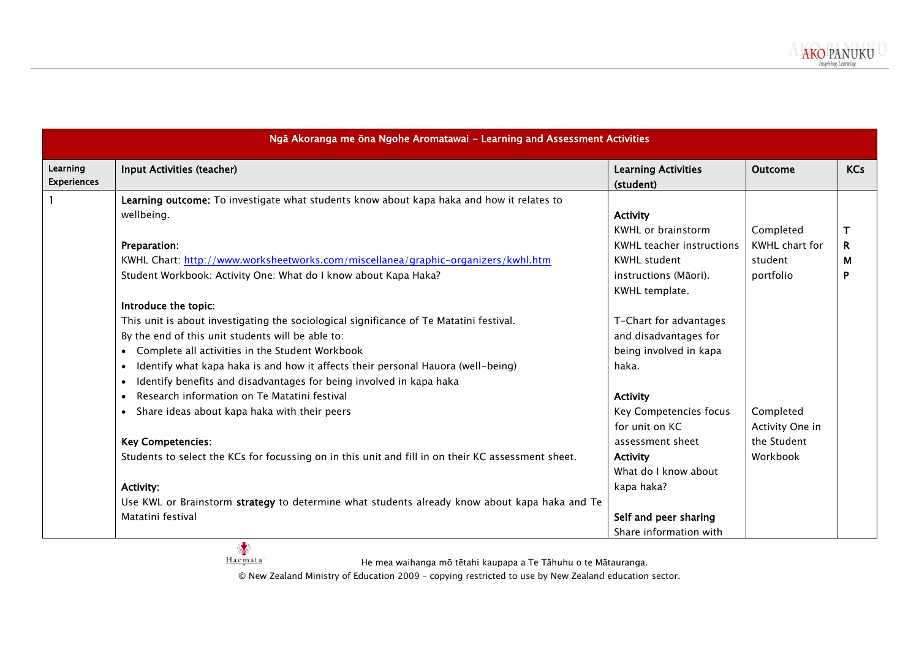|                                                                                                    | (student)                        | <b>Outcome</b>        | <b>KCs</b> |
|----------------------------------------------------------------------------------------------------|----------------------------------|-----------------------|------------|
| Learning outcome: To investigate what students know about kapa haka and how it relates to          |                                  |                       |            |
| wellbeing.                                                                                         | <b>Activity</b>                  |                       |            |
|                                                                                                    | <b>KWHL or brainstorm</b>        | Completed             |            |
| Preparation:                                                                                       | <b>KWHL teacher instructions</b> | <b>KWHL</b> chart for | R.         |
| KWHL Chart: http://www.worksheetworks.com/miscellanea/graphic-organizers/kwhl.htm                  | <b>KWHL</b> student              | student               | М          |
| Student Workbook: Activity One: What do I know about Kapa Haka?                                    | instructions (Māori).            | portfolio             | P          |
|                                                                                                    | KWHL template.                   |                       |            |
| Introduce the topic:                                                                               |                                  |                       |            |
| This unit is about investigating the sociological significance of Te Matatini festival.            | T-Chart for advantages           |                       |            |
| By the end of this unit students will be able to:                                                  | and disadvantages for            |                       |            |
| Complete all activities in the Student Workbook                                                    | being involved in kapa           |                       |            |
| Identify what kapa haka is and how it affects their personal Hauora (well-being)                   | haka.                            |                       |            |
| Identify benefits and disadvantages for being involved in kapa haka                                |                                  |                       |            |
| Research information on Te Matatini festival                                                       | <b>Activity</b>                  |                       |            |
| Share ideas about kapa haka with their peers                                                       | Key Competencies focus           | Completed             |            |
|                                                                                                    | for unit on KC                   | Activity One in       |            |
| <b>Key Competencies:</b>                                                                           | assessment sheet                 | the Student           |            |
| Students to select the KCs for focussing on in this unit and fill in on their KC assessment sheet. | <b>Activity</b>                  | Workbook              |            |
|                                                                                                    | What do I know about             |                       |            |
| <b>Activity:</b>                                                                                   | kapa haka?                       |                       |            |
| Use KWL or Brainstorm strategy to determine what students already know about kapa haka and Te      |                                  |                       |            |
| Matatini festival                                                                                  | Self and peer sharing            |                       |            |
|                                                                                                    | Share information with           |                       |            |

He mea waihanga mō tētahi kaupapa a Te Tāhuhu o te Mātauranga.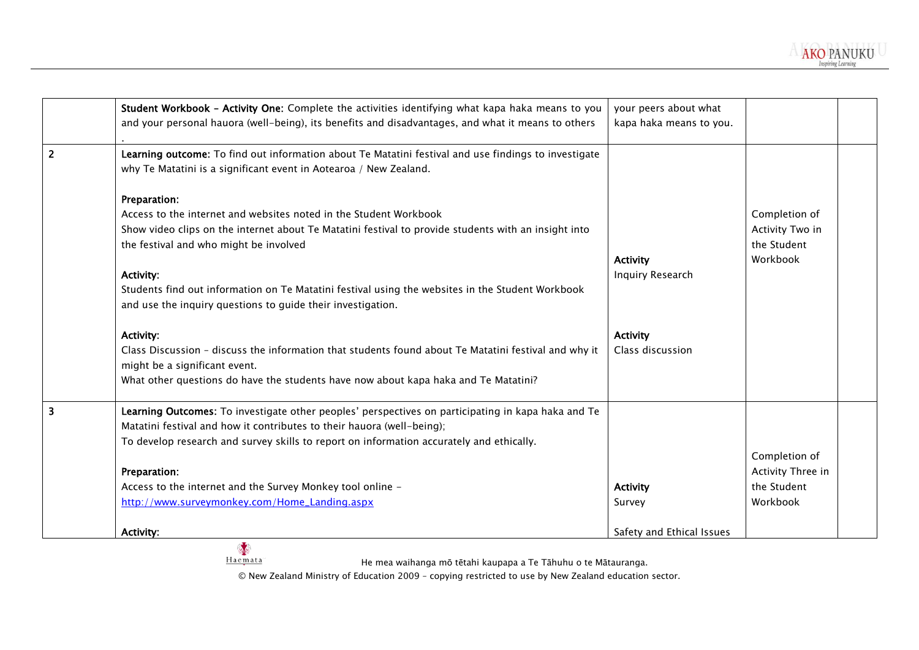

|                | Student Workbook - Activity One: Complete the activities identifying what kapa haka means to you                                                                          | your peers about what     |                   |
|----------------|---------------------------------------------------------------------------------------------------------------------------------------------------------------------------|---------------------------|-------------------|
|                | and your personal hauora (well-being), its benefits and disadvantages, and what it means to others                                                                        | kapa haka means to you.   |                   |
| $\overline{2}$ | Learning outcome: To find out information about Te Matatini festival and use findings to investigate<br>why Te Matatini is a significant event in Aotearoa / New Zealand. |                           |                   |
|                | Preparation:                                                                                                                                                              |                           |                   |
|                | Access to the internet and websites noted in the Student Workbook                                                                                                         |                           | Completion of     |
|                | Show video clips on the internet about Te Matatini festival to provide students with an insight into                                                                      |                           | Activity Two in   |
|                | the festival and who might be involved                                                                                                                                    |                           | the Student       |
|                |                                                                                                                                                                           | <b>Activity</b>           | Workbook          |
|                | <b>Activity:</b>                                                                                                                                                          | Inquiry Research          |                   |
|                | Students find out information on Te Matatini festival using the websites in the Student Workbook                                                                          |                           |                   |
|                | and use the inquiry questions to guide their investigation.                                                                                                               |                           |                   |
|                | <b>Activity:</b>                                                                                                                                                          | <b>Activity</b>           |                   |
|                | Class Discussion - discuss the information that students found about Te Matatini festival and why it<br>might be a significant event.                                     | Class discussion          |                   |
|                | What other questions do have the students have now about kapa haka and Te Matatini?                                                                                       |                           |                   |
|                | Learning Outcomes: To investigate other peoples' perspectives on participating in kapa haka and Te                                                                        |                           |                   |
|                | Matatini festival and how it contributes to their hauora (well-being);                                                                                                    |                           |                   |
|                | To develop research and survey skills to report on information accurately and ethically.                                                                                  |                           |                   |
|                |                                                                                                                                                                           |                           | Completion of     |
|                | Preparation:                                                                                                                                                              |                           | Activity Three in |
|                | Access to the internet and the Survey Monkey tool online -                                                                                                                | <b>Activity</b>           | the Student       |
|                | http://www.surveymonkey.com/Home_Landing.aspx                                                                                                                             | Survey                    | Workbook          |
|                | <b>Activity:</b>                                                                                                                                                          | Safety and Ethical Issues |                   |

He mea waihanga mō tētahi kaupapa a Te Tāhuhu o te Mātauranga.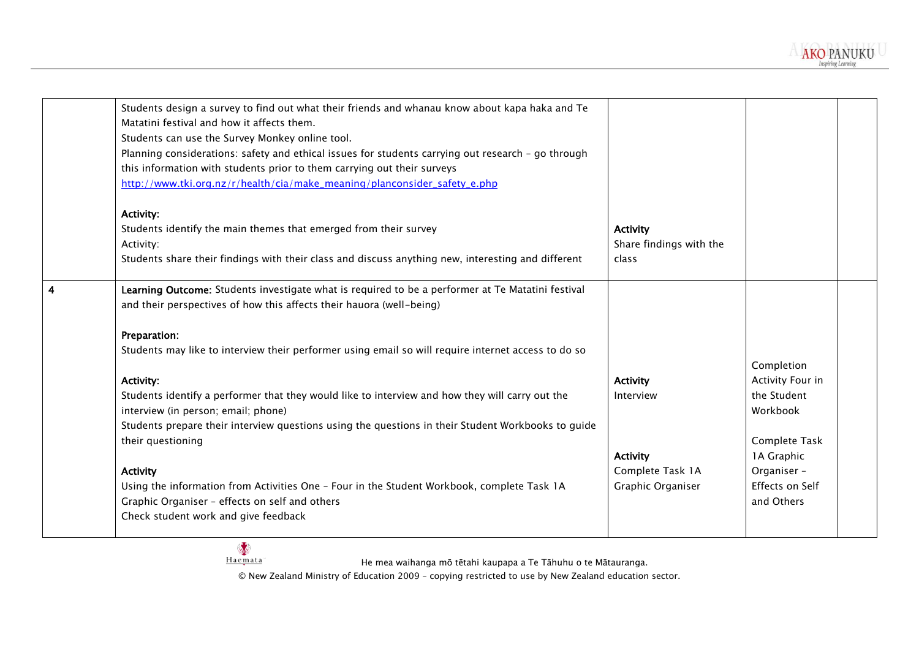| Students design a survey to find out what their friends and whanau know about kapa haka and Te      |                         |                  |  |
|-----------------------------------------------------------------------------------------------------|-------------------------|------------------|--|
| Matatini festival and how it affects them.                                                          |                         |                  |  |
| Students can use the Survey Monkey online tool.                                                     |                         |                  |  |
| Planning considerations: safety and ethical issues for students carrying out research - go through  |                         |                  |  |
| this information with students prior to them carrying out their surveys                             |                         |                  |  |
| http://www.tki.org.nz/r/health/cia/make_meaning/planconsider_safety_e.php                           |                         |                  |  |
| Activity:                                                                                           |                         |                  |  |
| Students identify the main themes that emerged from their survey                                    | <b>Activity</b>         |                  |  |
| Activity:                                                                                           | Share findings with the |                  |  |
| Students share their findings with their class and discuss anything new, interesting and different  | class                   |                  |  |
|                                                                                                     |                         |                  |  |
| Learning Outcome: Students investigate what is required to be a performer at Te Matatini festival   |                         |                  |  |
| and their perspectives of how this affects their hauora (well-being)                                |                         |                  |  |
|                                                                                                     |                         |                  |  |
| Preparation:                                                                                        |                         |                  |  |
| Students may like to interview their performer using email so will require internet access to do so |                         |                  |  |
|                                                                                                     |                         | Completion       |  |
| <b>Activity:</b>                                                                                    | <b>Activity</b>         | Activity Four in |  |
| Students identify a performer that they would like to interview and how they will carry out the     | Interview               | the Student      |  |
| interview (in person; email; phone)                                                                 |                         | Workbook         |  |
| Students prepare their interview questions using the questions in their Student Workbooks to guide  |                         |                  |  |
| their questioning                                                                                   |                         | Complete Task    |  |
|                                                                                                     | <b>Activity</b>         | 1A Graphic       |  |
| <b>Activity</b>                                                                                     | Complete Task 1A        | Organiser -      |  |
| Using the information from Activities One - Four in the Student Workbook, complete Task 1A          | Graphic Organiser       | Effects on Self  |  |
| Graphic Organiser - effects on self and others                                                      |                         | and Others       |  |
| Check student work and give feedback                                                                |                         |                  |  |
|                                                                                                     |                         |                  |  |

**AKO PANUKU** Inspirino Learnino

He mea waihanga mō tētahi kaupapa a Te Tāhuhu o te Mātauranga.

© New Zealand Ministry of Education 2009 – copying restricted to use by New Zealand education sector.

Haemata<sup>®</sup>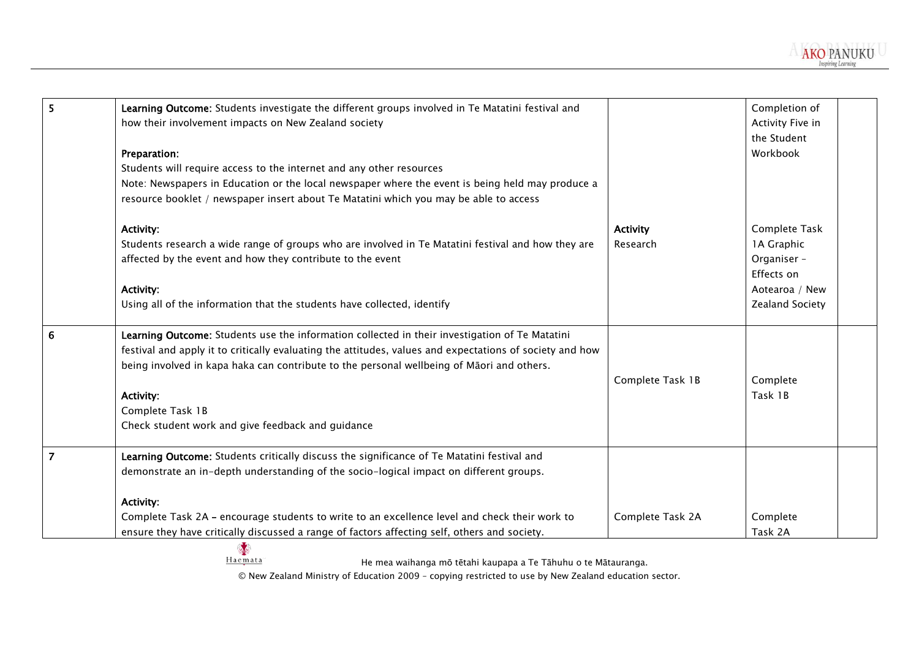| 5              | Learning Outcome: Students investigate the different groups involved in Te Matatini festival and         |                  | Completion of    |
|----------------|----------------------------------------------------------------------------------------------------------|------------------|------------------|
|                | how their involvement impacts on New Zealand society                                                     |                  | Activity Five in |
|                |                                                                                                          |                  | the Student      |
|                | Preparation:                                                                                             |                  | Workbook         |
|                | Students will require access to the internet and any other resources                                     |                  |                  |
|                | Note: Newspapers in Education or the local newspaper where the event is being held may produce a         |                  |                  |
|                | resource booklet / newspaper insert about Te Matatini which you may be able to access                    |                  |                  |
|                | <b>Activity:</b>                                                                                         | <b>Activity</b>  | Complete Task    |
|                | Students research a wide range of groups who are involved in Te Matatini festival and how they are       | Research         | 1A Graphic       |
|                | affected by the event and how they contribute to the event                                               |                  | Organiser -      |
|                |                                                                                                          |                  | Effects on       |
|                | <b>Activity:</b>                                                                                         |                  | Aotearoa / New   |
|                | Using all of the information that the students have collected, identify                                  |                  | Zealand Society  |
| 6              | Learning Outcome: Students use the information collected in their investigation of Te Matatini           |                  |                  |
|                | festival and apply it to critically evaluating the attitudes, values and expectations of society and how |                  |                  |
|                | being involved in kapa haka can contribute to the personal wellbeing of Māori and others.                |                  |                  |
|                |                                                                                                          | Complete Task 1B | Complete         |
|                | <b>Activity:</b>                                                                                         |                  | Task 1B          |
|                | Complete Task 1B                                                                                         |                  |                  |
|                | Check student work and give feedback and guidance                                                        |                  |                  |
| $\overline{7}$ | Learning Outcome: Students critically discuss the significance of Te Matatini festival and               |                  |                  |
|                | demonstrate an in-depth understanding of the socio-logical impact on different groups.                   |                  |                  |
|                | Activity:                                                                                                |                  |                  |
|                | Complete Task 2A - encourage students to write to an excellence level and check their work to            | Complete Task 2A | Complete         |
|                | ensure they have critically discussed a range of factors affecting self, others and society.             |                  | Task 2A          |
|                | Haemata<br>He mea waihanga mõ tētahi kaupapa a Te Tāhuhu o te Mātauranga.                                |                  |                  |

**AKO PANUKU** Inspirino Learnino

He mea waihanga mō tētahi kaupapa a Te Tāhuhu o te Mātauranga.